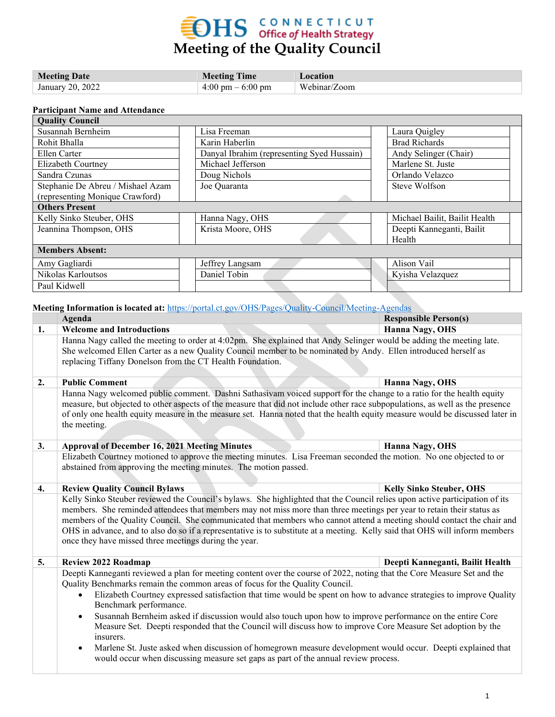## **EDHS** CONNECTICUT<br>Meeting of the Quality Council

| <b>Meeting Date</b> | <b>Meeting Time</b>                 | Location     |
|---------------------|-------------------------------------|--------------|
| January 20, 2022    | $4:00 \text{ pm} - 6:00 \text{ pm}$ | Webinar/Zoom |

## **Participant Name and Attendance**

| <b>Quality Council</b>            |                                            |  |                               |  |  |
|-----------------------------------|--------------------------------------------|--|-------------------------------|--|--|
| Susannah Bernheim                 | Lisa Freeman                               |  | Laura Quigley                 |  |  |
| Rohit Bhalla                      | Karin Haberlin                             |  | <b>Brad Richards</b>          |  |  |
| Ellen Carter                      | Danyal Ibrahim (representing Syed Hussain) |  | Andy Selinger (Chair)         |  |  |
| Elizabeth Courtney                | Michael Jefferson                          |  | Marlene St. Juste             |  |  |
| Sandra Czunas                     | Doug Nichols                               |  | Orlando Velazco               |  |  |
| Stephanie De Abreu / Mishael Azam | Joe Quaranta                               |  | Steve Wolfson                 |  |  |
| (representing Monique Crawford)   |                                            |  |                               |  |  |
| <b>Others Present</b>             |                                            |  |                               |  |  |
| Kelly Sinko Steuber, OHS          | Hanna Nagy, OHS                            |  | Michael Bailit, Bailit Health |  |  |
| Jeannina Thompson, OHS            | Krista Moore, OHS                          |  | Deepti Kanneganti, Bailit     |  |  |
|                                   |                                            |  | Health                        |  |  |
| <b>Members Absent:</b>            |                                            |  |                               |  |  |
| Amy Gagliardi                     | Jeffrey Langsam                            |  | Alison Vail                   |  |  |
| Nikolas Karloutsos                | Daniel Tobin                               |  | Kyisha Velazquez              |  |  |
| Paul Kidwell                      |                                            |  |                               |  |  |

**Meeting Information is located at:** <https://portal.ct.gov/OHS/Pages/Quality-Council/Meeting-Agendas>

|    | Agenda                                                                                                                                                                                                                                                                                                                                                                                                                                                                                                                                                                                                                                                                                                                                                                                                                                       | <b>Responsible Person(s)</b>     |
|----|----------------------------------------------------------------------------------------------------------------------------------------------------------------------------------------------------------------------------------------------------------------------------------------------------------------------------------------------------------------------------------------------------------------------------------------------------------------------------------------------------------------------------------------------------------------------------------------------------------------------------------------------------------------------------------------------------------------------------------------------------------------------------------------------------------------------------------------------|----------------------------------|
| 1. | <b>Welcome and Introductions</b>                                                                                                                                                                                                                                                                                                                                                                                                                                                                                                                                                                                                                                                                                                                                                                                                             | <b>Hanna Nagy, OHS</b>           |
|    | Hanna Nagy called the meeting to order at 4:02pm. She explained that Andy Selinger would be adding the meeting late.<br>She welcomed Ellen Carter as a new Quality Council member to be nominated by Andy. Ellen introduced herself as<br>replacing Tiffany Donelson from the CT Health Foundation.                                                                                                                                                                                                                                                                                                                                                                                                                                                                                                                                          |                                  |
| 2. | <b>Public Comment</b>                                                                                                                                                                                                                                                                                                                                                                                                                                                                                                                                                                                                                                                                                                                                                                                                                        | Hanna Nagy, OHS                  |
|    | Hanna Nagy welcomed public comment. Dashni Sathasiyam voiced support for the change to a ratio for the health equity<br>measure, but objected to other aspects of the measure that did not include other race subpopulations, as well as the presence<br>of only one health equity measure in the measure set. Hanna noted that the health equity measure would be discussed later in<br>the meeting.                                                                                                                                                                                                                                                                                                                                                                                                                                        |                                  |
| 3. | <b>Approval of December 16, 2021 Meeting Minutes</b>                                                                                                                                                                                                                                                                                                                                                                                                                                                                                                                                                                                                                                                                                                                                                                                         | Hanna Nagy, OHS                  |
|    | Elizabeth Courtney motioned to approve the meeting minutes. Lisa Freeman seconded the motion. No one objected to or<br>abstained from approving the meeting minutes. The motion passed.                                                                                                                                                                                                                                                                                                                                                                                                                                                                                                                                                                                                                                                      |                                  |
| 4. | <b>Review Quality Council Bylaws</b>                                                                                                                                                                                                                                                                                                                                                                                                                                                                                                                                                                                                                                                                                                                                                                                                         | <b>Kelly Sinko Steuber, OHS</b>  |
|    | Kelly Sinko Steuber reviewed the Council's bylaws. She highlighted that the Council relies upon active participation of its<br>members. She reminded attendees that members may not miss more than three meetings per year to retain their status as<br>members of the Quality Council. She communicated that members who cannot attend a meeting should contact the chair and<br>OHS in advance, and to also do so if a representative is to substitute at a meeting. Kelly said that OHS will inform members<br>once they have missed three meetings during the year.                                                                                                                                                                                                                                                                      |                                  |
| 5. | <b>Review 2022 Roadmap</b>                                                                                                                                                                                                                                                                                                                                                                                                                                                                                                                                                                                                                                                                                                                                                                                                                   | Deepti Kanneganti, Bailit Health |
|    | Deepti Kanneganti reviewed a plan for meeting content over the course of 2022, noting that the Core Measure Set and the<br>Quality Benchmarks remain the common areas of focus for the Quality Council.<br>Elizabeth Courtney expressed satisfaction that time would be spent on how to advance strategies to improve Quality<br>$\bullet$<br>Benchmark performance.<br>Susannah Bernheim asked if discussion would also touch upon how to improve performance on the entire Core<br>$\bullet$<br>Measure Set. Deepti responded that the Council will discuss how to improve Core Measure Set adoption by the<br>insurers.<br>Marlene St. Juste asked when discussion of homegrown measure development would occur. Deepti explained that<br>$\bullet$<br>would occur when discussing measure set gaps as part of the annual review process. |                                  |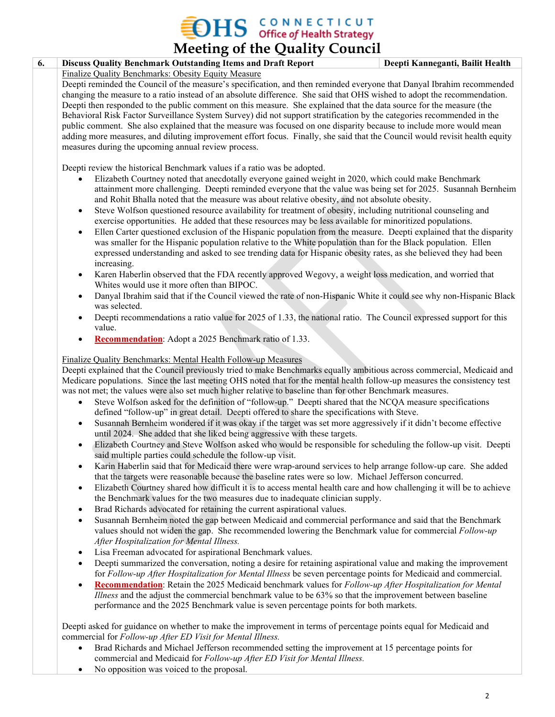## $\rm{DHS}$  CONNECTICUT office of Health Strategy

**Meeting of the Quality Council 6. Discuss Quality Benchmark Outstanding Items and Draft Report Deepti Kanneganti, Bailit Health** Finalize Quality Benchmarks: Obesity Equity Measure Deepti reminded the Council of the measure's specification, and then reminded everyone that Danyal Ibrahim recommended changing the measure to a ratio instead of an absolute difference. She said that OHS wished to adopt the recommendation. Deepti then responded to the public comment on this measure. She explained that the data source for the measure (the Behavioral Risk Factor Surveillance System Survey) did not support stratification by the categories recommended in the public comment. She also explained that the measure was focused on one disparity because to include more would mean adding more measures, and diluting improvement effort focus. Finally, she said that the Council would revisit health equity measures during the upcoming annual review process. Deepti review the historical Benchmark values if a ratio was be adopted. • Elizabeth Courtney noted that anecdotally everyone gained weight in 2020, which could make Benchmark attainment more challenging. Deepti reminded everyone that the value was being set for 2025. Susannah Bernheim and Rohit Bhalla noted that the measure was about relative obesity, and not absolute obesity. Steve Wolfson questioned resource availability for treatment of obesity, including nutritional counseling and exercise opportunities. He added that these resources may be less available for minoritized populations. • Ellen Carter questioned exclusion of the Hispanic population from the measure. Deepti explained that the disparity was smaller for the Hispanic population relative to the White population than for the Black population. Ellen expressed understanding and asked to see trending data for Hispanic obesity rates, as she believed they had been increasing. • Karen Haberlin observed that the FDA recently approved Wegovy, a weight loss medication, and worried that Whites would use it more often than BIPOC. • Danyal Ibrahim said that if the Council viewed the rate of non-Hispanic White it could see why non-Hispanic Black was selected. • Deepti recommendations a ratio value for 2025 of 1.33, the national ratio. The Council expressed support for this value. • **Recommendation**: Adopt a 2025 Benchmark ratio of 1.33. Finalize Quality Benchmarks: Mental Health Follow-up Measures Deepti explained that the Council previously tried to make Benchmarks equally ambitious across commercial, Medicaid and Medicare populations. Since the last meeting OHS noted that for the mental health follow-up measures the consistency test was not met; the values were also set much higher relative to baseline than for other Benchmark measures. • Steve Wolfson asked for the definition of "follow-up." Deepti shared that the NCQA measure specifications defined "follow-up" in great detail. Deepti offered to share the specifications with Steve. • Susannah Bernheim wondered if it was okay if the target was set more aggressively if it didn't become effective until 2024. She added that she liked being aggressive with these targets. • Elizabeth Courtney and Steve Wolfson asked who would be responsible for scheduling the follow-up visit. Deepti said multiple parties could schedule the follow-up visit. • Karin Haberlin said that for Medicaid there were wrap-around services to help arrange follow-up care. She added that the targets were reasonable because the baseline rates were so low. Michael Jefferson concurred. • Elizabeth Courtney shared how difficult it is to access mental health care and how challenging it will be to achieve the Benchmark values for the two measures due to inadequate clinician supply. • Brad Richards advocated for retaining the current aspirational values. • Susannah Bernheim noted the gap between Medicaid and commercial performance and said that the Benchmark values should not widen the gap. She recommended lowering the Benchmark value for commercial *Follow-up After Hospitalization for Mental Illness.* Lisa Freeman advocated for aspirational Benchmark values. • Deepti summarized the conversation, noting a desire for retaining aspirational value and making the improvement for *Follow-up After Hospitalization for Mental Illness* be seven percentage points for Medicaid and commercial. • **Recommendation**: Retain the 2025 Medicaid benchmark values for *Follow-up After Hospitalization for Mental Illness* and the adjust the commercial benchmark value to be 63% so that the improvement between baseline performance and the 2025 Benchmark value is seven percentage points for both markets.

Deepti asked for guidance on whether to make the improvement in terms of percentage points equal for Medicaid and commercial for *Follow-up After ED Visit for Mental Illness.*

- Brad Richards and Michael Jefferson recommended setting the improvement at 15 percentage points for commercial and Medicaid for *Follow-up After ED Visit for Mental Illness.*
- No opposition was voiced to the proposal.